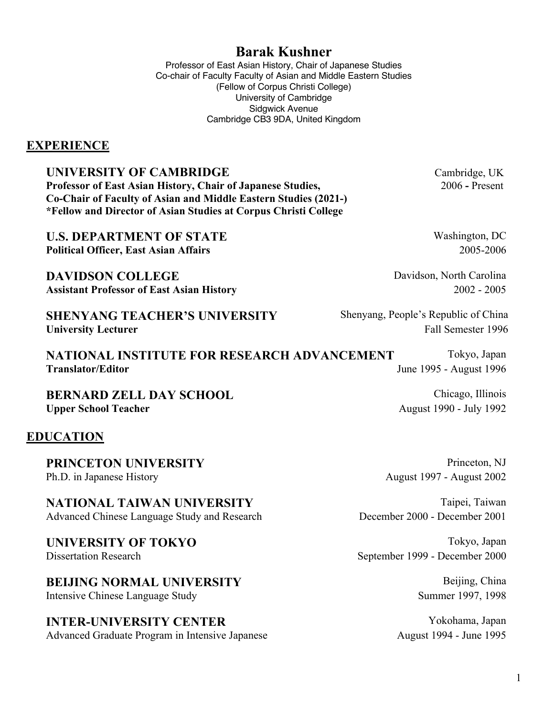# **Barak Kushner**

Professor of East Asian History, Chair of Japanese Studies Co-chair of Faculty Faculty of Asian and Middle Eastern Studies (Fellow of Corpus Christi College) University of Cambridge Sidgwick Avenue Cambridge CB3 9DA, United Kingdom

### **EXPERIENCE**

## **UNIVERSITY OF CAMBRIDGE** Cambridge, UK

**Professor of East Asian History, Chair of Japanese Studies, 2006 - Present Co-Chair of Faculty of Asian and Middle Eastern Studies (2021-) \*Fellow and Director of Asian Studies at Corpus Christi College**

**U.S. DEPARTMENT OF STATE** Washington, DC **Political Officer, East Asian Affairs** 2005-2006

**DAVIDSON COLLEGE** Davidson, North Carolina **Assistant Professor of East Asian History** 2002 - 2005

**SHENYANG TEACHER'S UNIVERSITY** Shenyang, People's Republic of China **University Lecturer** Fall Semester 1996

**NATIONAL INSTITUTE FOR RESEARCH ADVANCEMENT** Tokyo, Japan **Translator/Editor** June 1995 - August 1996

**BERNARD ZELL DAY SCHOOL** Chicago, Illinois Upper School Teacher **August 1990** - July 1992

## **EDUCATION**

**PRINCETON UNIVERSITY** Princeton, NJ Ph.D. in Japanese History **August 1997** - August 2002

**NATIONAL TAIWAN UNIVERSITY** Taipei, Taiwan Advanced Chinese Language Study and Research December 2000 - December 2001

### **UNIVERSITY OF TOKYO** Tokyo, Japan Dissertation Research September 1999 - December 2000

**BEIJING NORMAL UNIVERSITY** Beijing, China Intensive Chinese Language Study Summer 1997, 1998

**INTER-UNIVERSITY CENTER** Yokohama, Japan Advanced Graduate Program in Intensive Japanese August 1994 - June 1995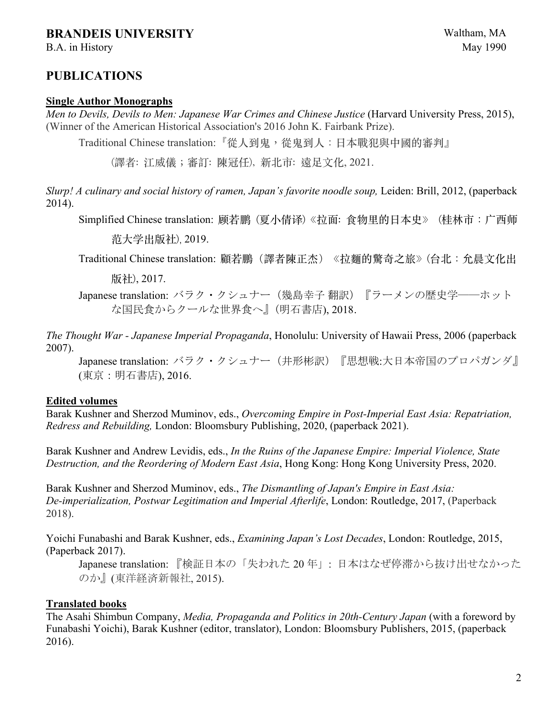## **BRANDEIS UNIVERSITY** Waltham, MA

B.A. in History May 1990

## **PUBLICATIONS**

#### **Single Author Monographs**

*Men to Devils, Devils to Men: Japanese War Crimes and Chinese Justice* (Harvard University Press, 2015), (Winner of the American Historical Association's 2016 John K. Fairbank Prize).

Traditional Chinese translation:『從⼈到鬼,從鬼到⼈:⽇本戰犯與中國的審判』

(譯者: 江威儀;審訂: 陳冠任), 新北市: 遠足文化, 2021.

*Slurp! A culinary and social history of ramen, Japan's favorite noodle soup, Leiden: Brill, 2012, (paperback* 2014).

Simplified Chinese translation: 顾若鹏 (夏小倩译)《拉面: 食物里的日本史》 (桂林市:广西师

范⼤学出版社), 2019.

Traditional Chinese translation: 顧若鵬(譯者陳正杰) 《拉麵的驚奇之旅》(台北:允晨文化出

版社), 2017.

Japanese translation: バラク・クシュナー(幾島幸子 翻訳)『ラーメンの歴史学――ホット な国民食からクールな世界食へ』(明石書店), 2018.

*The Thought War - Japanese Imperial Propaganda*, Honolulu: University of Hawaii Press, 2006 (paperback 2007).

Japanese translation: バラク・クシュナー (井形彬訳) 『思想戦:大日本帝国のプロパガンダ』 (東京:明石書店), 2016.

#### **Edited volumes**

Barak Kushner and Sherzod Muminov, eds., *Overcoming Empire in Post-Imperial East Asia: Repatriation, Redress and Rebuilding,* London: Bloomsbury Publishing, 2020, (paperback 2021).

Barak Kushner and Andrew Levidis, eds., *In the Ruins of the Japanese Empire: Imperial Violence, State Destruction, and the Reordering of Modern East Asia*, Hong Kong: Hong Kong University Press, 2020.

Barak Kushner and Sherzod Muminov, eds., *The Dismantling of Japan's Empire in East Asia: De-imperialization, Postwar Legitimation and Imperial Afterlife*, London: Routledge, 2017, (Paperback 2018).

Yoichi Funabashi and Barak Kushner, eds., *Examining Japan's Lost Decades*, London: Routledge, 2015, (Paperback 2017).

Japanese translation: 『検証日本の「失われた 20 年」: 日本はなぜ停滞から抜け出せなかった のか』(東洋経済新報社, 2015).

#### **Translated books**

The Asahi Shimbun Company, *Media, Propaganda and Politics in 20th-Century Japan* (with a foreword by Funabashi Yoichi), Barak Kushner (editor, translator), London: Bloomsbury Publishers, 2015, (paperback 2016).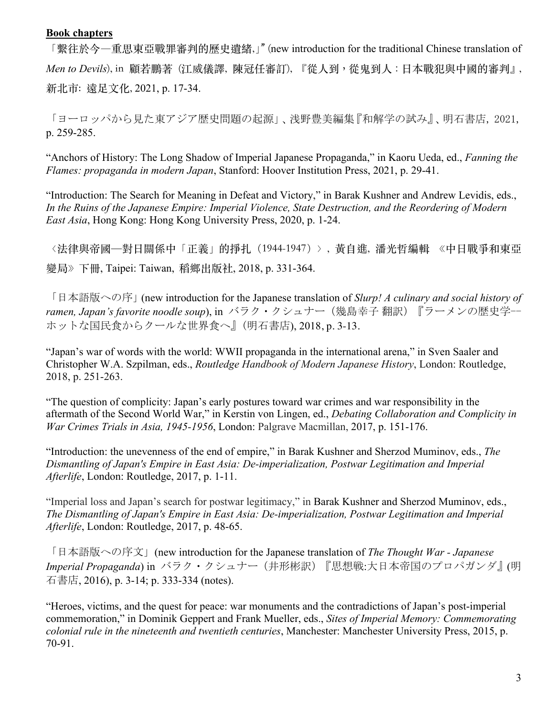#### **Book chapters**

「繫往於今―重思東亞戰罪審判的歷史遺緒,」" (new introduction for the traditional Chinese translation of *Men to Devils*), in 顧若鵬著 (江威儀譯, 陳冠任審訂), 『從人到,從鬼到人:日本戰犯與中國的審判』, 新北市: 遠足文化, 2021, p. 17-34.

「ヨーロッパから見た東アジア歴史問題の起源」、浅野豊美編集『和解学の試み』、明石書店, 2021, p. 259-285.

"Anchors of History: The Long Shadow of Imperial Japanese Propaganda," in Kaoru Ueda, ed., *Fanning the Flames: propaganda in modern Japan*, Stanford: Hoover Institution Press, 2021, p. 29-41.

"Introduction: The Search for Meaning in Defeat and Victory," in Barak Kushner and Andrew Levidis, eds., *In the Ruins of the Japanese Empire: Imperial Violence, State Destruction, and the Reordering of Modern East Asia*, Hong Kong: Hong Kong University Press, 2020, p. 1-24.

<法律與帝國—對日關係中「正義」的掙扎 (1944-1947) >, 黃自進, 潘光哲編輯 《中日戰爭和東亞 變局》下冊, Taipei: Taiwan, 稻鄉出版社, 2018, p. 331-364.

「日本語版への序」(new introduction for the Japanese translation of *Slurp! A culinary and social history of ramen, Japan's favorite noodle soup*), in バラク・クシュナー(幾島幸子 翻訳)『ラーメンの歴史学-- ホットな国民食からクールな世界食へ』(明石書店), 2018, p. 3-13.

"Japan's war of words with the world: WWII propaganda in the international arena," in Sven Saaler and Christopher W.A. Szpilman, eds., *Routledge Handbook of Modern Japanese History*, London: Routledge, 2018, p. 251-263.

"The question of complicity: Japan's early postures toward war crimes and war responsibility in the aftermath of the Second World War," in Kerstin von Lingen, ed., *Debating Collaboration and Complicity in War Crimes Trials in Asia, 1945-1956*, London: Palgrave Macmillan, 2017, p. 151-176.

"Introduction: the unevenness of the end of empire," in Barak Kushner and Sherzod Muminov, eds., *The Dismantling of Japan's Empire in East Asia: De-imperialization, Postwar Legitimation and Imperial Afterlife*, London: Routledge, 2017, p. 1-11.

"Imperial loss and Japan's search for postwar legitimacy," in Barak Kushner and Sherzod Muminov, eds., *The Dismantling of Japan's Empire in East Asia: De-imperialization, Postwar Legitimation and Imperial Afterlife*, London: Routledge, 2017, p. 48-65.

「日本語版への序文」(new introduction for the Japanese translation of *The Thought War - Japanese Imperial Propaganda*) in バラク・クシュナー(井形彬訳)『思想戦:大日本帝国のプロパガンダ』(明 石書店, 2016), p. 3-14; p. 333-334 (notes).

"Heroes, victims, and the quest for peace: war monuments and the contradictions of Japan's post-imperial commemoration," in Dominik Geppert and Frank Mueller, eds., *Sites of Imperial Memory: Commemorating colonial rule in the nineteenth and twentieth centuries*, Manchester: Manchester University Press, 2015, p. 70-91.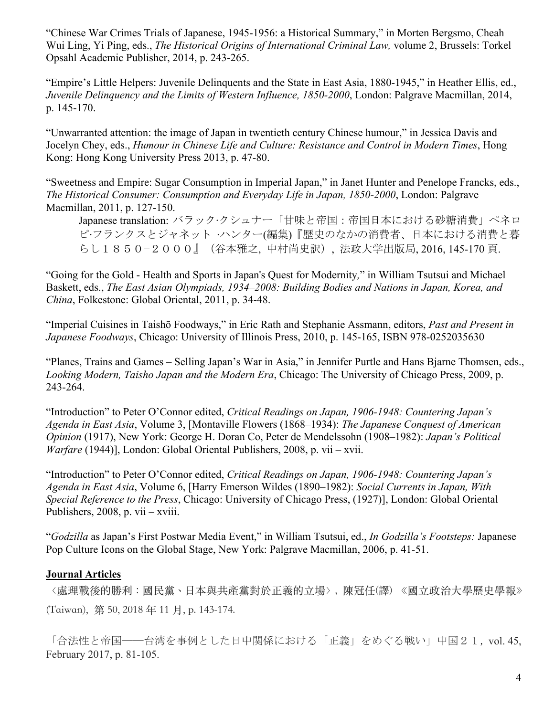"Chinese War Crimes Trials of Japanese, 1945-1956: a Historical Summary," in Morten Bergsmo, Cheah Wui Ling, Yi Ping, eds., *The Historical Origins of International Criminal Law,* volume 2, Brussels: Torkel Opsahl Academic Publisher, 2014, p. 243-265.

"Empire's Little Helpers: Juvenile Delinquents and the State in East Asia, 1880-1945," in Heather Ellis, ed., *Juvenile Delinquency and the Limits of Western Influence, 1850-2000*, London: Palgrave Macmillan, 2014, p. 145-170.

"Unwarranted attention: the image of Japan in twentieth century Chinese humour," in Jessica Davis and Jocelyn Chey, eds., *Humour in Chinese Life and Culture: Resistance and Control in Modern Times*, Hong Kong: Hong Kong University Press 2013, p. 47-80.

"Sweetness and Empire: Sugar Consumption in Imperial Japan," in Janet Hunter and Penelope Francks, eds., *The Historical Consumer: Consumption and Everyday Life in Japan, 1850-2000*, London: Palgrave Macmillan, 2011, p. 127-150.

Japanese translation: バラック∙クシュナー「甘味と帝国:帝国日本における砂糖消費」ペネロ ピ∙フランクスとジャネット ∙ハンター(編集)『歴史のなかの消費者、日本における消費と暮 らし1850−2000』(谷本雅之, 中村尚史訳), 法政大学出版局, 2016, 145-170 頁.

"Going for the Gold - Health and Sports in Japan's Quest for Modernity*,*" in William Tsutsui and Michael Baskett, eds., *The East Asian Olympiads, 1934–2008: Building Bodies and Nations in Japan, Korea, and China*, Folkestone: Global Oriental, 2011, p. 34-48.

"Imperial Cuisines in Taishō Foodways," in Eric Rath and Stephanie Assmann, editors, *Past and Present in Japanese Foodways*, Chicago: University of Illinois Press, 2010, p. 145-165, ISBN 978-0252035630

"Planes, Trains and Games – Selling Japan's War in Asia," in Jennifer Purtle and Hans Bjarne Thomsen, eds., *Looking Modern, Taisho Japan and the Modern Era*, Chicago: The University of Chicago Press, 2009, p. 243-264.

"Introduction" to Peter O'Connor edited, *Critical Readings on Japan, 1906-1948: Countering Japan's Agenda in East Asia*, Volume 3, [Montaville Flowers (1868–1934): *The Japanese Conquest of American Opinion* (1917), New York: George H. Doran Co, Peter de Mendelssohn (1908–1982): *Japan's Political Warfare* (1944)], London: Global Oriental Publishers, 2008, p. vii – xvii.

"Introduction" to Peter O'Connor edited, *Critical Readings on Japan, 1906-1948: Countering Japan's Agenda in East Asia*, Volume 6, [Harry Emerson Wildes (1890–1982): *Social Currents in Japan, With Special Reference to the Press*, Chicago: University of Chicago Press, (1927)], London: Global Oriental Publishers, 2008, p. vii – xviii.

"*Godzilla* as Japan's First Postwar Media Event," in William Tsutsui, ed., *In Godzilla's Footsteps:* Japanese Pop Culture Icons on the Global Stage, New York: Palgrave Macmillan, 2006, p. 41-51.

#### **Journal Articles**

〈處理戰後的勝利:國民黨、日本與共產黨對於正義的立場〉, 陳冠任(譯) 《國立政治大學歷史學報》 (Taiwan), 第 50, 2018 年 11 ⽉, p. 143-174.

「合法性と帝国──台湾を事例とした日中関係における「正義」をめぐる戦い」中国21, vol. 45, February 2017, p. 81-105.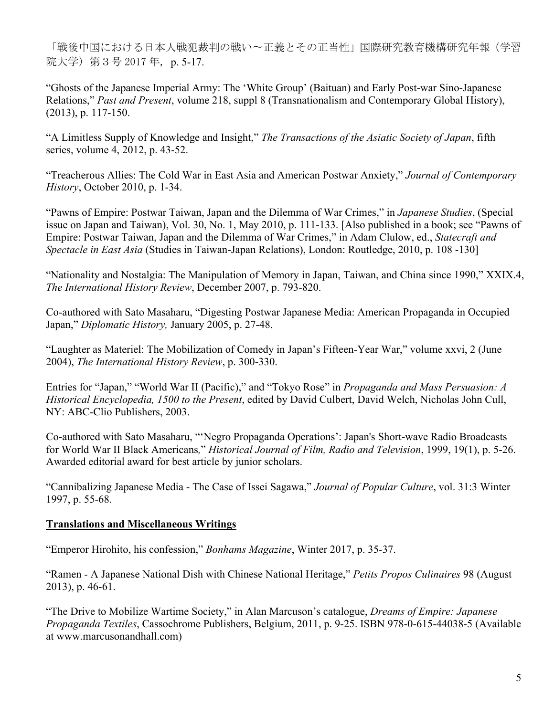「戦後中国における日本人戦犯裁判の戦い〜正義とその正当性」国際研究教育機構研究年報(学習 院大学)第3号 2017 年, p. 5-17.

"Ghosts of the Japanese Imperial Army: The 'White Group' (Baituan) and Early Post-war Sino-Japanese Relations," *Past and Present*, volume 218, suppl 8 (Transnationalism and Contemporary Global History), (2013), p. 117-150.

"A Limitless Supply of Knowledge and Insight," *The Transactions of the Asiatic Society of Japan*, fifth series, volume 4, 2012, p. 43-52.

"Treacherous Allies: The Cold War in East Asia and American Postwar Anxiety," *Journal of Contemporary History*, October 2010, p. 1-34.

"Pawns of Empire: Postwar Taiwan, Japan and the Dilemma of War Crimes," in *Japanese Studies*, (Special issue on Japan and Taiwan), Vol. 30, No. 1, May 2010, p. 111-133. [Also published in a book; see "Pawns of Empire: Postwar Taiwan, Japan and the Dilemma of War Crimes," in Adam Clulow, ed., *Statecraft and Spectacle in East Asia* (Studies in Taiwan-Japan Relations), London: Routledge, 2010, p. 108 -130]

"Nationality and Nostalgia: The Manipulation of Memory in Japan, Taiwan, and China since 1990," XXIX.4, *The International History Review*, December 2007, p. 793-820.

Co-authored with Sato Masaharu, "Digesting Postwar Japanese Media: American Propaganda in Occupied Japan," *Diplomatic History,* January 2005, p. 27-48.

"Laughter as Materiel: The Mobilization of Comedy in Japan's Fifteen-Year War," volume xxvi, 2 (June 2004), *The International History Review*, p. 300-330.

Entries for "Japan," "World War II (Pacific)," and "Tokyo Rose" in *Propaganda and Mass Persuasion: A Historical Encyclopedia, 1500 to the Present*, edited by David Culbert, David Welch, Nicholas John Cull, NY: ABC-Clio Publishers, 2003.

Co-authored with Sato Masaharu, "'Negro Propaganda Operations': Japan's Short-wave Radio Broadcasts for World War II Black Americans*,*" *Historical Journal of Film, Radio and Television*, 1999, 19(1), p. 5-26. Awarded editorial award for best article by junior scholars.

"Cannibalizing Japanese Media - The Case of Issei Sagawa," *Journal of Popular Culture*, vol. 31:3 Winter 1997, p. 55-68.

## **Translations and Miscellaneous Writings**

"Emperor Hirohito, his confession," *Bonhams Magazine*, Winter 2017, p. 35-37.

"Ramen - A Japanese National Dish with Chinese National Heritage," *Petits Propos Culinaires* 98 (August 2013), p. 46-61.

"The Drive to Mobilize Wartime Society," in Alan Marcuson's catalogue, *Dreams of Empire: Japanese Propaganda Textiles*, Cassochrome Publishers, Belgium, 2011, p. 9-25. ISBN 978-0-615-44038-5 (Available at www.marcusonandhall.com)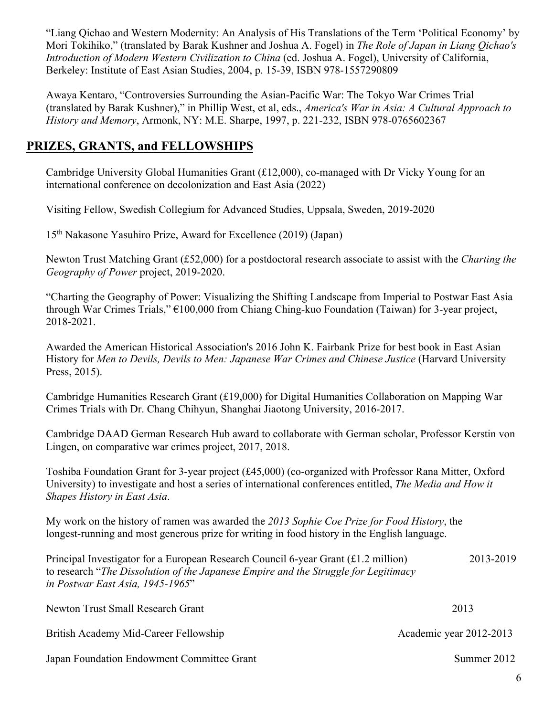"Liang Qichao and Western Modernity: An Analysis of His Translations of the Term 'Political Economy' by Mori Tokihiko," (translated by Barak Kushner and Joshua A. Fogel) in *The Role of Japan in Liang Qichao's Introduction of Modern Western Civilization to China* (ed. Joshua A. Fogel), University of California, Berkeley: Institute of East Asian Studies, 2004, p. 15-39, ISBN 978-1557290809

Awaya Kentaro, "Controversies Surrounding the Asian-Pacific War: The Tokyo War Crimes Trial (translated by Barak Kushner)," in Phillip West, et al, eds., *America's War in Asia: A Cultural Approach to History and Memory*, Armonk, NY: M.E. Sharpe, 1997, p. 221-232, ISBN 978-0765602367

## **PRIZES, GRANTS, and FELLOWSHIPS**

Cambridge University Global Humanities Grant (£12,000), co-managed with Dr Vicky Young for an international conference on decolonization and East Asia (2022)

Visiting Fellow, Swedish Collegium for Advanced Studies, Uppsala, Sweden, 2019-2020

15th Nakasone Yasuhiro Prize, Award for Excellence (2019) (Japan)

Newton Trust Matching Grant (£52,000) for a postdoctoral research associate to assist with the *Charting the Geography of Power* project, 2019-2020.

"Charting the Geography of Power: Visualizing the Shifting Landscape from Imperial to Postwar East Asia through War Crimes Trials," €100,000 from Chiang Ching-kuo Foundation (Taiwan) for 3-year project, 2018-2021.

Awarded the American Historical Association's 2016 John K. Fairbank Prize for best book in East Asian History for *Men to Devils, Devils to Men: Japanese War Crimes and Chinese Justice* (Harvard University Press, 2015).

Cambridge Humanities Research Grant (£19,000) for Digital Humanities Collaboration on Mapping War Crimes Trials with Dr. Chang Chihyun, Shanghai Jiaotong University, 2016-2017.

Cambridge DAAD German Research Hub award to collaborate with German scholar, Professor Kerstin von Lingen, on comparative war crimes project, 2017, 2018.

Toshiba Foundation Grant for 3-year project (£45,000) (co-organized with Professor Rana Mitter, Oxford University) to investigate and host a series of international conferences entitled, *The Media and How it Shapes History in East Asia*.

My work on the history of ramen was awarded the *2013 Sophie Coe Prize for Food History*, the longest-running and most generous prize for writing in food history in the English language.

Principal Investigator for a European Research Council 6-year Grant (£1.2 million) 2013-2019 to research "*The Dissolution of the Japanese Empire and the Struggle for Legitimacy in Postwar East Asia, 1945-1965*"

| Newton Trust Small Research Grant          | 2013                    |
|--------------------------------------------|-------------------------|
| British Academy Mid-Career Fellowship      | Academic year 2012-2013 |
| Japan Foundation Endowment Committee Grant | Summer 2012             |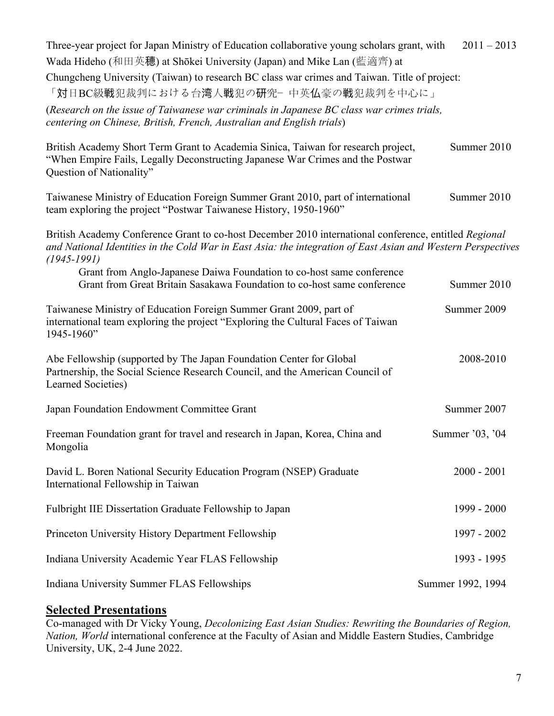| Three-year project for Japan Ministry of Education collaborative young scholars grant, with                                                                                                                                              | $2011 - 2013$     |  |
|------------------------------------------------------------------------------------------------------------------------------------------------------------------------------------------------------------------------------------------|-------------------|--|
| Wada Hideho (和田英穂) at Shōkei University (Japan) and Mike Lan (藍適齊) at                                                                                                                                                                    |                   |  |
| Chungcheng University (Taiwan) to research BC class war crimes and Taiwan. Title of project:<br>「対日BC級戦犯裁判における台湾人戦犯の研究-中英仏豪の戦犯裁判を中心に」                                                                                                    |                   |  |
| (Research on the issue of Taiwanese war criminals in Japanese BC class war crimes trials,                                                                                                                                                |                   |  |
| centering on Chinese, British, French, Australian and English trials)                                                                                                                                                                    |                   |  |
| British Academy Short Term Grant to Academia Sinica, Taiwan for research project,<br>"When Empire Fails, Legally Deconstructing Japanese War Crimes and the Postwar<br>Question of Nationality"                                          | Summer 2010       |  |
| Taiwanese Ministry of Education Foreign Summer Grant 2010, part of international<br>team exploring the project "Postwar Taiwanese History, 1950-1960"                                                                                    | Summer 2010       |  |
| British Academy Conference Grant to co-host December 2010 international conference, entitled Regional<br>and National Identities in the Cold War in East Asia: the integration of East Asian and Western Perspectives<br>$(1945 - 1991)$ |                   |  |
| Grant from Anglo-Japanese Daiwa Foundation to co-host same conference<br>Grant from Great Britain Sasakawa Foundation to co-host same conference                                                                                         | Summer 2010       |  |
| Taiwanese Ministry of Education Foreign Summer Grant 2009, part of<br>international team exploring the project "Exploring the Cultural Faces of Taiwan<br>1945-1960"                                                                     | Summer 2009       |  |
| Abe Fellowship (supported by The Japan Foundation Center for Global<br>Partnership, the Social Science Research Council, and the American Council of<br>Learned Societies)                                                               | 2008-2010         |  |
| Japan Foundation Endowment Committee Grant                                                                                                                                                                                               | Summer 2007       |  |
| Freeman Foundation grant for travel and research in Japan, Korea, China and<br>Mongolia                                                                                                                                                  | Summer '03, '04   |  |
| David L. Boren National Security Education Program (NSEP) Graduate<br>International Fellowship in Taiwan                                                                                                                                 | $2000 - 2001$     |  |
| Fulbright IIE Dissertation Graduate Fellowship to Japan                                                                                                                                                                                  | 1999 - 2000       |  |
| Princeton University History Department Fellowship                                                                                                                                                                                       | 1997 - 2002       |  |
| Indiana University Academic Year FLAS Fellowship                                                                                                                                                                                         | 1993 - 1995       |  |
| Indiana University Summer FLAS Fellowships                                                                                                                                                                                               | Summer 1992, 1994 |  |

## **Selected Presentations**

Co-managed with Dr Vicky Young, *Decolonizing East Asian Studies: Rewriting the Boundaries of Region, Nation, World* international conference at the Faculty of Asian and Middle Eastern Studies, Cambridge University, UK, 2-4 June 2022.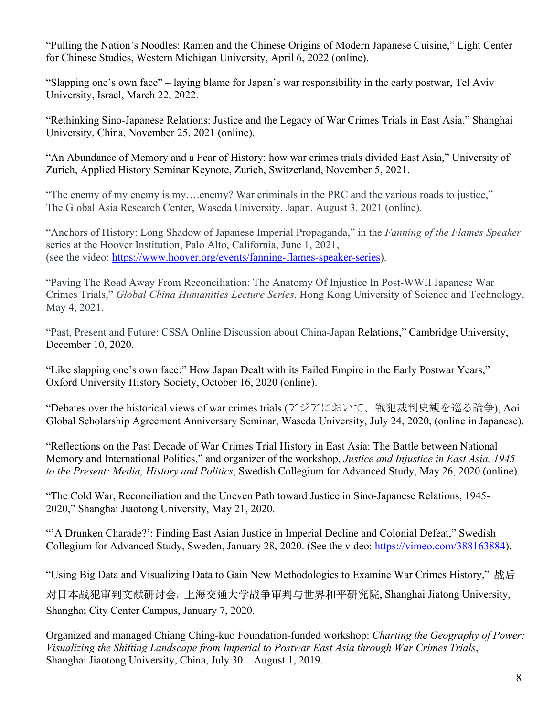"Pulling the Nation's Noodles: Ramen and the Chinese Origins of Modern Japanese Cuisine," Light Center for Chinese Studies, Western Michigan University, April 6, 2022 (online).

"Slapping one's own face" – laying blame for Japan's war responsibility in the early postwar, Tel Aviv University, Israel, March 22, 2022.

"Rethinking Sino-Japanese Relations: Justice and the Legacy of War Crimes Trials in East Asia," Shanghai University, China, November 25, 2021 (online).

"An Abundance of Memory and a Fear of History: how war crimes trials divided East Asia," University of Zurich, Applied History Seminar Keynote, Zurich, Switzerland, November 5, 2021.

"The enemy of my enemy is my….enemy? War criminals in the PRC and the various roads to justice," The Global Asia Research Center, Waseda University, Japan, August 3, 2021 (online).

"Anchors of History: Long Shadow of Japanese Imperial Propaganda," in the *Fanning of the Flames Speaker*  series at the Hoover Institution, Palo Alto, California, June 1, 2021, (see the video: https://www.hoover.org/events/fanning-flames-speaker-series).

"Paving The Road Away From Reconciliation: The Anatomy Of Injustice In Post-WWII Japanese War Crimes Trials," *Global China Humanities Lecture Series*, Hong Kong University of Science and Technology, May 4, 2021.

"Past, Present and Future: CSSA Online Discussion about China-Japan Relations," Cambridge University, December 10, 2020.

"Like slapping one's own face:" How Japan Dealt with its Failed Empire in the Early Postwar Years," Oxford University History Society, October 16, 2020 (online).

"Debates over the historical views of war crimes trials (アジアにおいて、戦犯裁判史観を巡る論争), Aoi Global Scholarship Agreement Anniversary Seminar, Waseda University, July 24, 2020, (online in Japanese).

"Reflections on the Past Decade of War Crimes Trial History in East Asia: The Battle between National Memory and International Politics," and organizer of the workshop, *Justice and Injustice in East Asia, 1945 to the Present: Media, History and Politics*, Swedish Collegium for Advanced Study, May 26, 2020 (online).

"The Cold War, Reconciliation and the Uneven Path toward Justice in Sino-Japanese Relations, 1945- 2020," Shanghai Jiaotong University, May 21, 2020.

"'A Drunken Charade?': Finding East Asian Justice in Imperial Decline and Colonial Defeat," Swedish Collegium for Advanced Study, Sweden, January 28, 2020. (See the video: https://vimeo.com/388163884).

"Using Big Data and Visualizing Data to Gain New Methodologies to Examine War Crimes History," 战后

对日本战犯审判文献研讨会, 上海交通大学战争审判与世界和平研究院, Shanghai Jiatong University, Shanghai City Center Campus, January 7, 2020.

Organized and managed Chiang Ching-kuo Foundation-funded workshop: *Charting the Geography of Power: Visualizing the Shifting Landscape from Imperial to Postwar East Asia through War Crimes Trials*, Shanghai Jiaotong University, China, July 30 – August 1, 2019.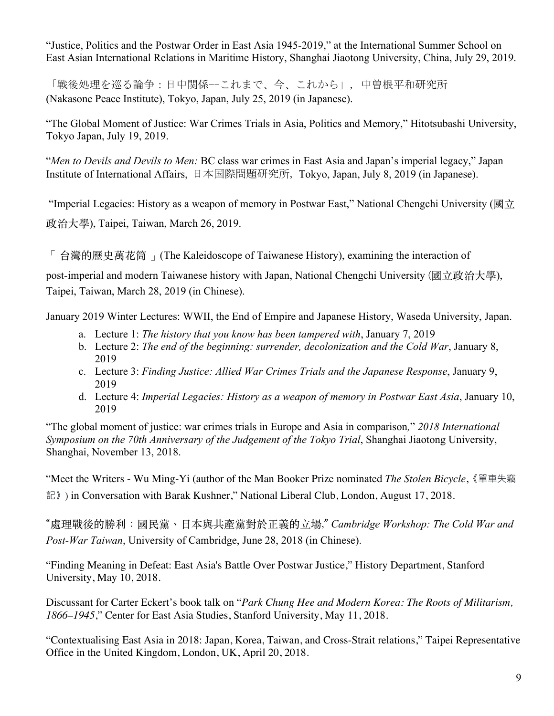"Justice, Politics and the Postwar Order in East Asia 1945-2019," at the International Summer School on East Asian International Relations in Maritime History, Shanghai Jiaotong University, China, July 29, 2019.

「戦後処理を巡る論争:日中関係--これまで、今、これから」, 中曽根平和研究所 (Nakasone Peace Institute), Tokyo, Japan, July 25, 2019 (in Japanese).

"The Global Moment of Justice: War Crimes Trials in Asia, Politics and Memory," Hitotsubashi University, Tokyo Japan, July 19, 2019.

"*Men to Devils and Devils to Men:* BC class war crimes in East Asia and Japan's imperial legacy," Japan Institute of International Affairs, 日本国際問題研究所, Tokyo, Japan, July 8, 2019 (in Japanese).

"Imperial Legacies: History as a weapon of memory in Postwar East," National Chengchi University ( $\mathbb{R} \cdot \overrightarrow{T}$ ) 政治⼤學), Taipei, Taiwan, March 26, 2019.

「 台灣的歷史萬花筒 」(The Kaleidoscope of Taiwanese History), examining the interaction of

post-imperial and modern Taiwanese history with Japan, National Chengchi University (國立政治大學), Taipei, Taiwan, March 28, 2019 (in Chinese).

January 2019 Winter Lectures: WWII, the End of Empire and Japanese History, Waseda University, Japan.

- a. Lecture 1: *The history that you know has been tampered with*, January 7, 2019
- b. Lecture 2: *The end of the beginning: surrender, decolonization and the Cold War*, January 8, 2019
- c. Lecture 3: *Finding Justice: Allied War Crimes Trials and the Japanese Response*, January 9, 2019
- d. Lecture 4: *Imperial Legacies: History as a weapon of memory in Postwar East Asia*, January 10, 2019

"The global moment of justice: war crimes trials in Europe and Asia in comparison*,*" *2018 International Symposium on the 70th Anniversary of the Judgement of the Tokyo Trial*, Shanghai Jiaotong University, Shanghai, November 13, 2018.

"Meet the Writers - Wu Ming-Yi (author of the Man Booker Prize nominated *The Stolen Bicycle*,《單車失竊 記》) in Conversation with Barak Kushner," National Liberal Club, London, August 17, 2018.

"處理戰後的勝利:國民黨、⽇本與共產黨對於正義的⽴場," *Cambridge Workshop: The Cold War and Post-War Taiwan*, University of Cambridge, June 28, 2018 (in Chinese).

"Finding Meaning in Defeat: East Asia's Battle Over Postwar Justice," History Department, Stanford University, May 10, 2018.

Discussant for Carter Eckert's book talk on "*Park Chung Hee and Modern Korea: The Roots of Militarism, 1866–1945*," Center for East Asia Studies, Stanford University, May 11, 2018.

"Contextualising East Asia in 2018: Japan, Korea, Taiwan, and Cross-Strait relations," Taipei Representative Office in the United Kingdom, London, UK, April 20, 2018.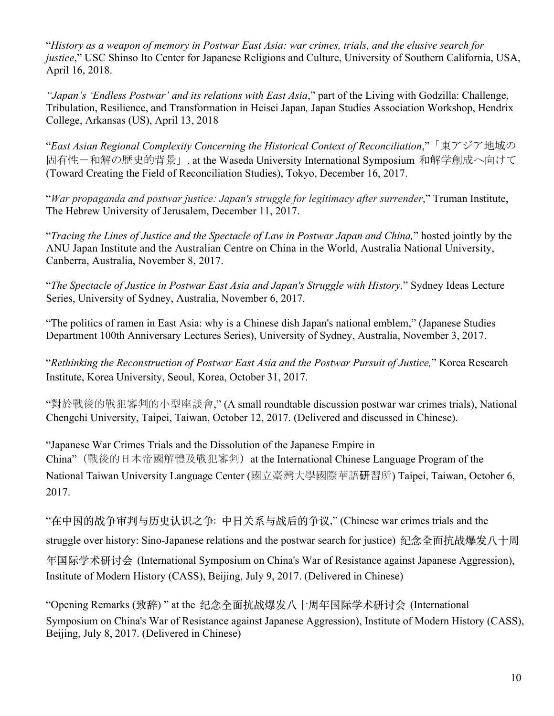"*History as a weapon of memory in Postwar East Asia: war crimes, trials, and the elusive search for justice*," USC Shinso Ito Center for Japanese Religions and Culture, University of Southern California, USA, April 16, 2018.

*"Japan's 'Endless Postwar' and its relations with East Asia*," part of the Living with Godzilla: Challenge, Tribulation, Resilience, and Transformation in Heisei Japan*,* Japan Studies Association Workshop, Hendrix College, Arkansas (US), April 13, 2018

"*East Asian Regional Complexity Concerning the Historical Context of Reconciliation*,"「東アジア地域の 固有性-和解の歴史的背景」, at the Waseda University International Symposium 和解学創成へ向けて (Toward Creating the Field of Reconciliation Studies), Tokyo, December 16, 2017.

"*War propaganda and postwar justice: Japan's struggle for legitimacy after surrender*," Truman Institute, The Hebrew University of Jerusalem, December 11, 2017.

"*Tracing the Lines of Justice and the Spectacle of Law in Postwar Japan and China,*" hosted jointly by the ANU Japan Institute and the Australian Centre on China in the World, Australia National University, Canberra, Australia, November 8, 2017.

"*The Spectacle of Justice in Postwar East Asia and Japan's Struggle with History,*" Sydney Ideas Lecture Series, University of Sydney, Australia, November 6, 2017.

"The politics of ramen in East Asia: why is a Chinese dish Japan's national emblem," (Japanese Studies Department 100th Anniversary Lectures Series), University of Sydney, Australia, November 3, 2017.

"*Rethinking the Reconstruction of Postwar East Asia and the Postwar Pursuit of Justice,*" Korea Research Institute, Korea University, Seoul, Korea, October 31, 2017.

"對於戰後的戰犯審判的小型座談會," (A small roundtable discussion postwar war crimes trials), National Chengchi University, Taipei, Taiwan, October 12, 2017. (Delivered and discussed in Chinese).

"Japanese War Crimes Trials and the Dissolution of the Japanese Empire in China"(戰後的日本帝國解體及戰犯審判) at the International Chinese Language Program of the National Taiwan University Language Center (國立臺灣大學國際華語研習所) Taipei, Taiwan, October 6, 2017.

"在中国的战争审判与历史认识之争: 中⽇关系与战后的争议," (Chinese war crimes trials and the

struggle over history: Sino-Japanese relations and the postwar search for justice) 纪念全面抗战爆发八十周

年国际学术研讨会 (International Symposium on China's War of Resistance against Japanese Aggression), Institute of Modern History (CASS), Beijing, July 9, 2017. (Delivered in Chinese)

"Opening Remarks (致辞) " at the 纪念全⾯抗战爆发八⼗周年国际学术研讨会 (International Symposium on China's War of Resistance against Japanese Aggression), Institute of Modern History (CASS), Beijing, July 8, 2017. (Delivered in Chinese)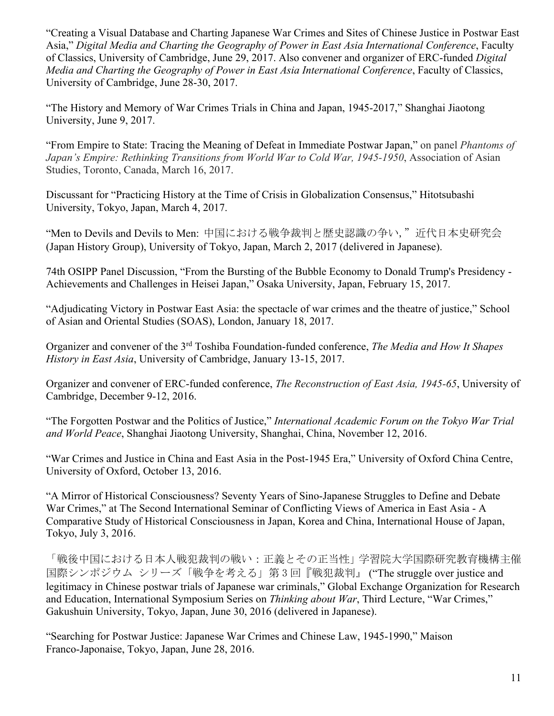"Creating a Visual Database and Charting Japanese War Crimes and Sites of Chinese Justice in Postwar East Asia," *Digital Media and Charting the Geography of Power in East Asia International Conference*, Faculty of Classics, University of Cambridge, June 29, 2017. Also convener and organizer of ERC-funded *Digital Media and Charting the Geography of Power in East Asia International Conference*, Faculty of Classics, University of Cambridge, June 28-30, 2017.

"The History and Memory of War Crimes Trials in China and Japan, 1945-2017," Shanghai Jiaotong University, June 9, 2017.

"From Empire to State: Tracing the Meaning of Defeat in Immediate Postwar Japan," on panel *Phantoms of Japan's Empire: Rethinking Transitions from World War to Cold War, 1945-1950*, Association of Asian Studies, Toronto, Canada, March 16, 2017.

Discussant for "Practicing History at the Time of Crisis in Globalization Consensus," Hitotsubashi University, Tokyo, Japan, March 4, 2017.

"Men to Devils and Devils to Men: 中国における戦争裁判と歴史認識の争い,"近代日本史研究会 (Japan History Group), University of Tokyo, Japan, March 2, 2017 (delivered in Japanese).

74th OSIPP Panel Discussion, "From the Bursting of the Bubble Economy to Donald Trump's Presidency - Achievements and Challenges in Heisei Japan," Osaka University, Japan, February 15, 2017.

"Adjudicating Victory in Postwar East Asia: the spectacle of war crimes and the theatre of justice," School of Asian and Oriental Studies (SOAS), London, January 18, 2017.

Organizer and convener of the 3rd Toshiba Foundation-funded conference, *The Media and How It Shapes History in East Asia*, University of Cambridge, January 13-15, 2017.

Organizer and convener of ERC-funded conference, *The Reconstruction of East Asia, 1945-65*, University of Cambridge, December 9-12, 2016.

"The Forgotten Postwar and the Politics of Justice," *International Academic Forum on the Tokyo War Trial and World Peace*, Shanghai Jiaotong University, Shanghai, China, November 12, 2016.

"War Crimes and Justice in China and East Asia in the Post-1945 Era," University of Oxford China Centre, University of Oxford, October 13, 2016.

"A Mirror of Historical Consciousness? Seventy Years of Sino-Japanese Struggles to Define and Debate War Crimes," at The Second International Seminar of Conflicting Views of America in East Asia - A Comparative Study of Historical Consciousness in Japan, Korea and China, International House of Japan, Tokyo, July 3, 2016.

「戦後中国における日本人戦犯裁判の戦い:正義とその正当性」学習院大学国際研究教育機構主催 国際シンポジウム シリーズ「戦争を考える」第 3 回『戦犯裁判』 ("The struggle over justice and legitimacy in Chinese postwar trials of Japanese war criminals," Global Exchange Organization for Research and Education, International Symposium Series on *Thinking about War*, Third Lecture, "War Crimes," Gakushuin University, Tokyo, Japan, June 30, 2016 (delivered in Japanese).

"Searching for Postwar Justice: Japanese War Crimes and Chinese Law, 1945-1990," Maison Franco-Japonaise, Tokyo, Japan, June 28, 2016.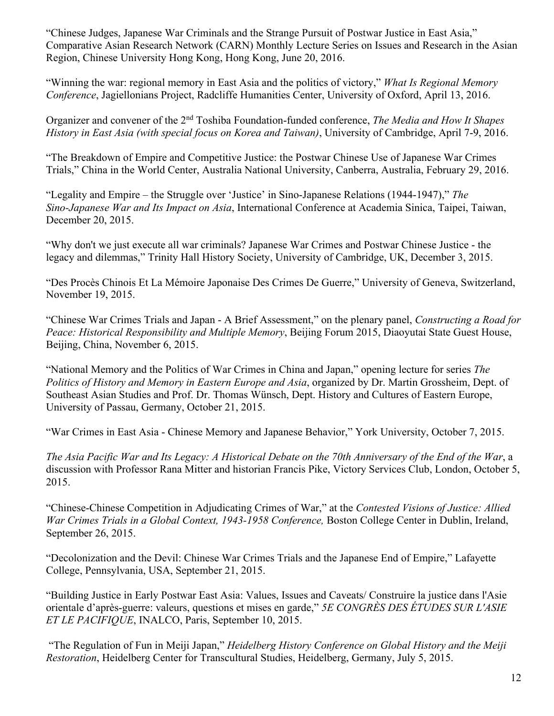"Chinese Judges, Japanese War Criminals and the Strange Pursuit of Postwar Justice in East Asia," Comparative Asian Research Network (CARN) Monthly Lecture Series on Issues and Research in the Asian Region, Chinese University Hong Kong, Hong Kong, June 20, 2016.

"Winning the war: regional memory in East Asia and the politics of victory," *What Is Regional Memory Conference*, Jagiellonians Project, Radcliffe Humanities Center, University of Oxford, April 13, 2016.

Organizer and convener of the 2nd Toshiba Foundation-funded conference, *The Media and How It Shapes History in East Asia (with special focus on Korea and Taiwan)*, University of Cambridge, April 7-9, 2016.

"The Breakdown of Empire and Competitive Justice: the Postwar Chinese Use of Japanese War Crimes Trials," China in the World Center, Australia National University, Canberra, Australia, February 29, 2016.

"Legality and Empire – the Struggle over 'Justice' in Sino-Japanese Relations (1944-1947)," *The Sino-Japanese War and Its Impact on Asia*, International Conference at Academia Sinica, Taipei, Taiwan, December 20, 2015.

"Why don't we just execute all war criminals? Japanese War Crimes and Postwar Chinese Justice - the legacy and dilemmas," Trinity Hall History Society, University of Cambridge, UK, December 3, 2015.

"Des Procès Chinois Et La Mémoire Japonaise Des Crimes De Guerre," University of Geneva, Switzerland, November 19, 2015.

"Chinese War Crimes Trials and Japan - A Brief Assessment," on the plenary panel, *Constructing a Road for Peace: Historical Responsibility and Multiple Memory*, Beijing Forum 2015, Diaoyutai State Guest House, Beijing, China, November 6, 2015.

"National Memory and the Politics of War Crimes in China and Japan," opening lecture for series *The Politics of History and Memory in Eastern Europe and Asia*, organized by Dr. Martin Grossheim, Dept. of Southeast Asian Studies and Prof. Dr. Thomas Wünsch, Dept. History and Cultures of Eastern Europe, University of Passau, Germany, October 21, 2015.

"War Crimes in East Asia - Chinese Memory and Japanese Behavior," York University, October 7, 2015.

*The Asia Pacific War and Its Legacy: A Historical Debate on the 70th Anniversary of the End of the War*, a discussion with Professor Rana Mitter and historian Francis Pike, Victory Services Club, London, October 5, 2015.

"Chinese-Chinese Competition in Adjudicating Crimes of War," at the *Contested Visions of Justice: Allied War Crimes Trials in a Global Context, 1943-1958 Conference,* Boston College Center in Dublin, Ireland, September 26, 2015.

"Decolonization and the Devil: Chinese War Crimes Trials and the Japanese End of Empire," Lafayette College, Pennsylvania, USA, September 21, 2015.

"Building Justice in Early Postwar East Asia: Values, Issues and Caveats/ Construire la justice dans l'Asie orientale d'après-guerre: valeurs, questions et mises en garde," *5E CONGRÈS DES ÉTUDES SUR L'ASIE ET LE PACIFIQUE*, INALCO, Paris, September 10, 2015.

"The Regulation of Fun in Meiji Japan," *Heidelberg History Conference on Global History and the Meiji Restoration*, Heidelberg Center for Transcultural Studies, Heidelberg, Germany, July 5, 2015.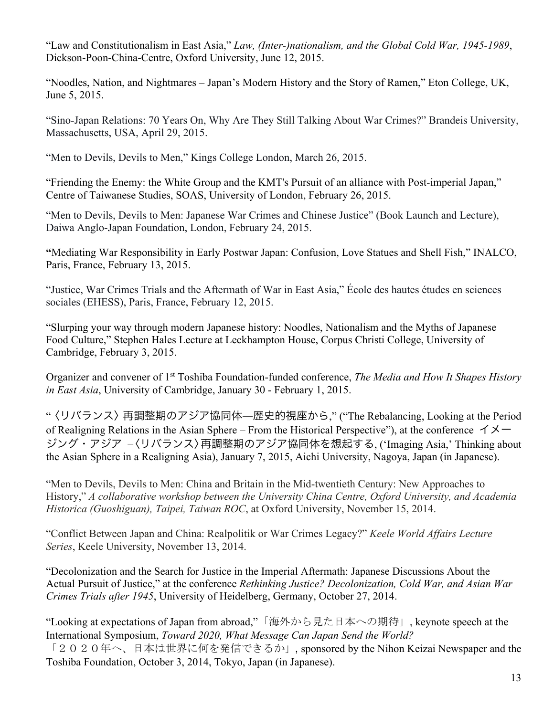"Law and Constitutionalism in East Asia," *Law, (Inter-)nationalism, and the Global Cold War, 1945-1989*, Dickson-Poon-China-Centre, Oxford University, June 12, 2015.

"Noodles, Nation, and Nightmares – Japan's Modern History and the Story of Ramen," Eton College, UK, June 5, 2015.

"Sino-Japan Relations: 70 Years On, Why Are They Still Talking About War Crimes?" Brandeis University, Massachusetts, USA, April 29, 2015.

"Men to Devils, Devils to Men," Kings College London, March 26, 2015.

"Friending the Enemy: the White Group and the KMT's Pursuit of an alliance with Post-imperial Japan," Centre of Taiwanese Studies, SOAS, University of London, February 26, 2015.

"Men to Devils, Devils to Men: Japanese War Crimes and Chinese Justice" (Book Launch and Lecture), Daiwa Anglo-Japan Foundation, London, February 24, 2015.

**"**Mediating War Responsibility in Early Postwar Japan: Confusion, Love Statues and Shell Fish," INALCO, Paris, France, February 13, 2015.

"Justice, War Crimes Trials and the Aftermath of War in East Asia," École des hautes études en sciences sociales (EHESS), Paris, France, February 12, 2015.

"Slurping your way through modern Japanese history: Noodles, Nationalism and the Myths of Japanese Food Culture," Stephen Hales Lecture at Leckhampton House, Corpus Christi College, University of Cambridge, February 3, 2015.

Organizer and convener of 1st Toshiba Foundation-funded conference, *The Media and How It Shapes History in East Asia*, University of Cambridge, January 30 - February 1, 2015.

"〈リバランス〉再調整期のアジア協同体―歴史的視座から," ("The Rebalancing, Looking at the Period of Realigning Relations in the Asian Sphere – From the Historical Perspective"), at the conference  $\Delta \times -$ ジング・アジア −〈リバランス〉再調整期のアジア協同体を想起する, ('Imaging Asia,' Thinking about the Asian Sphere in a Realigning Asia), January 7, 2015, Aichi University, Nagoya, Japan (in Japanese).

"Men to Devils, Devils to Men: China and Britain in the Mid-twentieth Century: New Approaches to History," *A collaborative workshop between the University China Centre, Oxford University, and Academia Historica (Guoshiguan), Taipei, Taiwan ROC*, at Oxford University, November 15, 2014.

"Conflict Between Japan and China: Realpolitik or War Crimes Legacy?" *Keele World Affairs Lecture Series*, Keele University, November 13, 2014.

"Decolonization and the Search for Justice in the Imperial Aftermath: Japanese Discussions About the Actual Pursuit of Justice," at the conference *Rethinking Justice? Decolonization, Cold War, and Asian War Crimes Trials after 1945*, University of Heidelberg, Germany, October 27, 2014.

"Looking at expectations of Japan from abroad,"「海外から見た日本への期待」, keynote speech at the International Symposium, *Toward 2020, What Message Can Japan Send the World?* 「2020年へ、日本は世界に何を発信できるか」, sponsored by the Nihon Keizai Newspaper and the

Toshiba Foundation, October 3, 2014, Tokyo, Japan (in Japanese).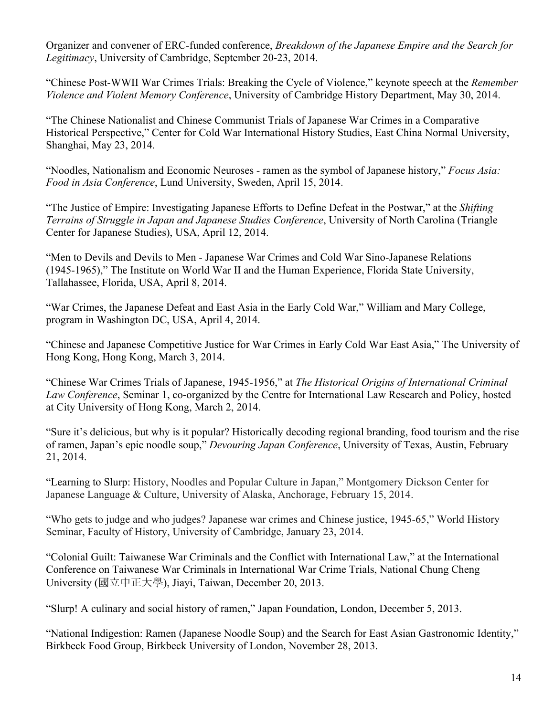Organizer and convener of ERC-funded conference, *Breakdown of the Japanese Empire and the Search for Legitimacy*, University of Cambridge, September 20-23, 2014.

"Chinese Post-WWII War Crimes Trials: Breaking the Cycle of Violence," keynote speech at the *Remember Violence and Violent Memory Conference*, University of Cambridge History Department, May 30, 2014.

"The Chinese Nationalist and Chinese Communist Trials of Japanese War Crimes in a Comparative Historical Perspective," Center for Cold War International History Studies, East China Normal University, Shanghai, May 23, 2014.

"Noodles, Nationalism and Economic Neuroses - ramen as the symbol of Japanese history," *Focus Asia: Food in Asia Conference*, Lund University, Sweden, April 15, 2014.

"The Justice of Empire: Investigating Japanese Efforts to Define Defeat in the Postwar," at the *Shifting Terrains of Struggle in Japan and Japanese Studies Conference*, University of North Carolina (Triangle Center for Japanese Studies), USA, April 12, 2014.

"Men to Devils and Devils to Men - Japanese War Crimes and Cold War Sino-Japanese Relations (1945-1965)," The Institute on World War II and the Human Experience, Florida State University, Tallahassee, Florida, USA, April 8, 2014.

"War Crimes, the Japanese Defeat and East Asia in the Early Cold War," William and Mary College, program in Washington DC, USA, April 4, 2014.

"Chinese and Japanese Competitive Justice for War Crimes in Early Cold War East Asia," The University of Hong Kong, Hong Kong, March 3, 2014.

"Chinese War Crimes Trials of Japanese, 1945-1956," at *The Historical Origins of International Criminal Law Conference*, Seminar 1, co-organized by the Centre for International Law Research and Policy, hosted at City University of Hong Kong, March 2, 2014.

"Sure it's delicious, but why is it popular? Historically decoding regional branding, food tourism and the rise of ramen, Japan's epic noodle soup," *Devouring Japan Conference*, University of Texas, Austin, February 21, 2014.

"Learning to Slurp: History, Noodles and Popular Culture in Japan," Montgomery Dickson Center for Japanese Language & Culture, University of Alaska, Anchorage, February 15, 2014.

"Who gets to judge and who judges? Japanese war crimes and Chinese justice, 1945-65," World History Seminar, Faculty of History, University of Cambridge, January 23, 2014.

"Colonial Guilt: Taiwanese War Criminals and the Conflict with International Law," at the International Conference on Taiwanese War Criminals in International War Crime Trials, National Chung Cheng University (國立中正大學), Jiayi, Taiwan, December 20, 2013.

"Slurp! A culinary and social history of ramen," Japan Foundation, London, December 5, 2013.

"National Indigestion: Ramen (Japanese Noodle Soup) and the Search for East Asian Gastronomic Identity," Birkbeck Food Group, Birkbeck University of London, November 28, 2013.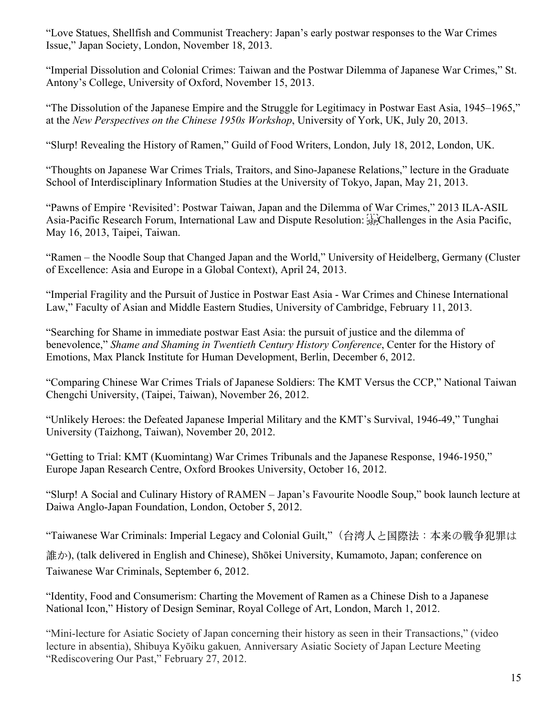"Love Statues, Shellfish and Communist Treachery: Japan's early postwar responses to the War Crimes Issue," Japan Society, London, November 18, 2013.

"Imperial Dissolution and Colonial Crimes: Taiwan and the Postwar Dilemma of Japanese War Crimes," St. Antony's College, University of Oxford, November 15, 2013.

"The Dissolution of the Japanese Empire and the Struggle for Legitimacy in Postwar East Asia, 1945–1965," at the *New Perspectives on the Chinese 1950s Workshop*, University of York, UK, July 20, 2013.

"Slurp! Revealing the History of Ramen," Guild of Food Writers, London, July 18, 2012, London, UK.

"Thoughts on Japanese War Crimes Trials, Traitors, and Sino-Japanese Relations," lecture in the Graduate School of Interdisciplinary Information Studies at the University of Tokyo, Japan, May 21, 2013.

"Pawns of Empire 'Revisited': Postwar Taiwan, Japan and the Dilemma of War Crimes," 2013 ILA-ASIL Asia-Pacific Research Forum, International Law and Dispute Resolution: 
Challenges in the Asia Pacific, May 16, 2013, Taipei, Taiwan.

"Ramen – the Noodle Soup that Changed Japan and the World," University of Heidelberg, Germany (Cluster of Excellence: Asia and Europe in a Global Context), April 24, 2013.

"Imperial Fragility and the Pursuit of Justice in Postwar East Asia - War Crimes and Chinese International Law," Faculty of Asian and Middle Eastern Studies, University of Cambridge, February 11, 2013.

"Searching for Shame in immediate postwar East Asia: the pursuit of justice and the dilemma of benevolence," *Shame and Shaming in Twentieth Century History Conference*, Center for the History of Emotions, Max Planck Institute for Human Development, Berlin, December 6, 2012.

"Comparing Chinese War Crimes Trials of Japanese Soldiers: The KMT Versus the CCP," National Taiwan Chengchi University, (Taipei, Taiwan), November 26, 2012.

"Unlikely Heroes: the Defeated Japanese Imperial Military and the KMT's Survival, 1946-49," Tunghai University (Taizhong, Taiwan), November 20, 2012.

"Getting to Trial: KMT (Kuomintang) War Crimes Tribunals and the Japanese Response, 1946-1950," Europe Japan Research Centre, Oxford Brookes University, October 16, 2012.

"Slurp! A Social and Culinary History of RAMEN – Japan's Favourite Noodle Soup," book launch lecture at Daiwa Anglo-Japan Foundation, London, October 5, 2012.

"Taiwanese War Criminals: Imperial Legacy and Colonial Guilt,"(台湾⼈と国際法:本来の戦争犯罪は

誰か), (talk delivered in English and Chinese), Shōkei University, Kumamoto, Japan; conference on Taiwanese War Criminals, September 6, 2012.

"Identity, Food and Consumerism: Charting the Movement of Ramen as a Chinese Dish to a Japanese National Icon," History of Design Seminar, Royal College of Art, London, March 1, 2012.

"Mini-lecture for Asiatic Society of Japan concerning their history as seen in their Transactions," (video lecture in absentia), Shibuya Kyōiku gakuen*,* Anniversary Asiatic Society of Japan Lecture Meeting "Rediscovering Our Past," February 27, 2012.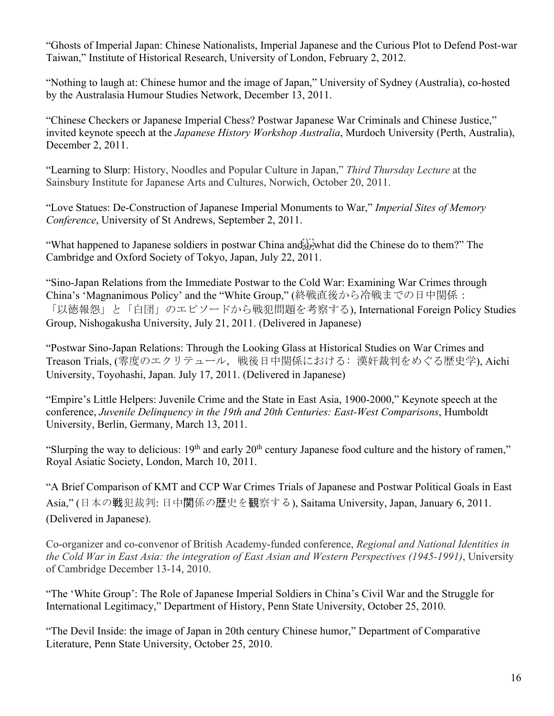"Ghosts of Imperial Japan: Chinese Nationalists, Imperial Japanese and the Curious Plot to Defend Post-war Taiwan," Institute of Historical Research, University of London, February 2, 2012.

"Nothing to laugh at: Chinese humor and the image of Japan," University of Sydney (Australia), co-hosted by the Australasia Humour Studies Network, December 13, 2011.

"Chinese Checkers or Japanese Imperial Chess? Postwar Japanese War Criminals and Chinese Justice," invited keynote speech at the *Japanese History Workshop Australia*, Murdoch University (Perth, Australia), December 2, 2011.

"Learning to Slurp: History, Noodles and Popular Culture in Japan," *Third Thursday Lecture* at the Sainsbury Institute for Japanese Arts and Cultures, Norwich, October 20, 2011.

"Love Statues: De-Construction of Japanese Imperial Monuments to War," *Imperial Sites of Memory Conference*, University of St Andrews, September 2, 2011.

"What happened to Japanese soldiers in postwar China and  $\vec{E}_{\text{EP}}$  what did the Chinese do to them?" The Cambridge and Oxford Society of Tokyo, Japan, July 22, 2011.

"Sino-Japan Relations from the Immediate Postwar to the Cold War: Examining War Crimes through China's 'Magnanimous Policy' and the "White Group," (終戦直後から冷戦までの日中関係: 「以徳報怨」と「白団」のエピソードから戦犯問題を考察する), International Foreign Policy Studies Group, Nishogakusha University, July 21, 2011. (Delivered in Japanese)

"Postwar Sino-Japan Relations: Through the Looking Glass at Historical Studies on War Crimes and Treason Trials, (零度のエクリテュール, 戦後日中関係における: 漢奸裁判をめぐる歴史学), Aichi University, Toyohashi, Japan. July 17, 2011. (Delivered in Japanese)

"Empire's Little Helpers: Juvenile Crime and the State in East Asia, 1900-2000," Keynote speech at the conference, *Juvenile Delinquency in the 19th and 20th Centuries: East-West Comparisons*, Humboldt University, Berlin, Germany, March 13, 2011.

"Slurping the way to delicious:  $19<sup>th</sup>$  and early  $20<sup>th</sup>$  century Japanese food culture and the history of ramen," Royal Asiatic Society, London, March 10, 2011.

"A Brief Comparison of KMT and CCP War Crimes Trials of Japanese and Postwar Political Goals in East Asia," (日本の戦犯裁判: 日中関係の歴史を観察する), Saitama University, Japan, January 6, 2011. (Delivered in Japanese).

Co-organizer and co-convenor of British Academy-funded conference, *Regional and National Identities in the Cold War in East Asia: the integration of East Asian and Western Perspectives (1945-1991)*, University of Cambridge December 13-14, 2010.

"The 'White Group': The Role of Japanese Imperial Soldiers in China's Civil War and the Struggle for International Legitimacy," Department of History, Penn State University, October 25, 2010.

"The Devil Inside: the image of Japan in 20th century Chinese humor," Department of Comparative Literature, Penn State University, October 25, 2010.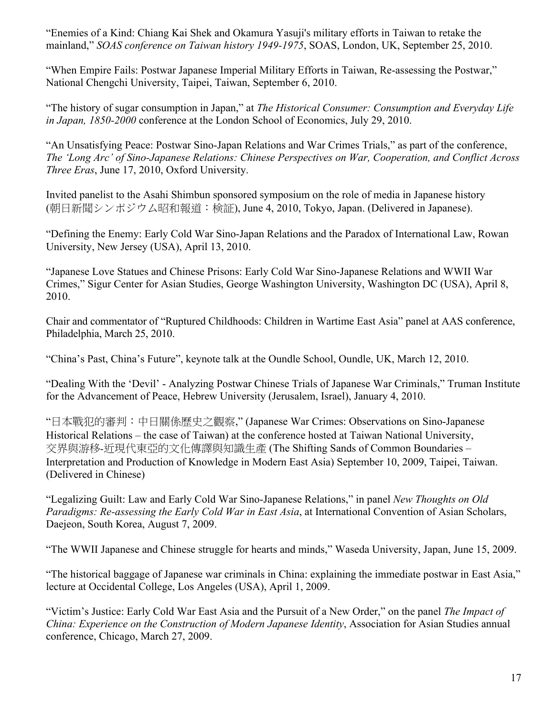"Enemies of a Kind: Chiang Kai Shek and Okamura Yasuji's military efforts in Taiwan to retake the mainland," *SOAS conference on Taiwan history 1949-1975*, SOAS, London, UK, September 25, 2010.

"When Empire Fails: Postwar Japanese Imperial Military Efforts in Taiwan, Re-assessing the Postwar," National Chengchi University, Taipei, Taiwan, September 6, 2010.

"The history of sugar consumption in Japan," at *The Historical Consumer: Consumption and Everyday Life in Japan, 1850-2000* conference at the London School of Economics, July 29, 2010.

"An Unsatisfying Peace: Postwar Sino-Japan Relations and War Crimes Trials," as part of the conference, *The 'Long Arc' of Sino-Japanese Relations: Chinese Perspectives on War, Cooperation, and Conflict Across Three Eras*, June 17, 2010, Oxford University.

Invited panelist to the Asahi Shimbun sponsored symposium on the role of media in Japanese history (朝日新聞シンポジウム昭和報道:検証), June 4, 2010, Tokyo, Japan. (Delivered in Japanese).

"Defining the Enemy: Early Cold War Sino-Japan Relations and the Paradox of International Law, Rowan University, New Jersey (USA), April 13, 2010.

"Japanese Love Statues and Chinese Prisons: Early Cold War Sino-Japanese Relations and WWII War Crimes," Sigur Center for Asian Studies, George Washington University, Washington DC (USA), April 8, 2010.

Chair and commentator of "Ruptured Childhoods: Children in Wartime East Asia" panel at AAS conference, Philadelphia, March 25, 2010.

"China's Past, China's Future", keynote talk at the Oundle School, Oundle, UK, March 12, 2010.

"Dealing With the 'Devil' - Analyzing Postwar Chinese Trials of Japanese War Criminals," Truman Institute for the Advancement of Peace, Hebrew University (Jerusalem, Israel), January 4, 2010.

"日本戰犯的審判:中日關係歷史之觀察," (Japanese War Crimes: Observations on Sino-Japanese Historical Relations – the case of Taiwan) at the conference hosted at Taiwan National University, 交界與游移-近現代東亞的文化傳譯與知識生產 (The Shifting Sands of Common Boundaries – Interpretation and Production of Knowledge in Modern East Asia) September 10, 2009, Taipei, Taiwan. (Delivered in Chinese)

"Legalizing Guilt: Law and Early Cold War Sino-Japanese Relations," in panel *New Thoughts on Old Paradigms: Re-assessing the Early Cold War in East Asia*, at International Convention of Asian Scholars, Daejeon, South Korea, August 7, 2009.

"The WWII Japanese and Chinese struggle for hearts and minds," Waseda University, Japan, June 15, 2009.

"The historical baggage of Japanese war criminals in China: explaining the immediate postwar in East Asia," lecture at Occidental College, Los Angeles (USA), April 1, 2009.

"Victim's Justice: Early Cold War East Asia and the Pursuit of a New Order," on the panel *The Impact of China: Experience on the Construction of Modern Japanese Identity*, Association for Asian Studies annual conference, Chicago, March 27, 2009.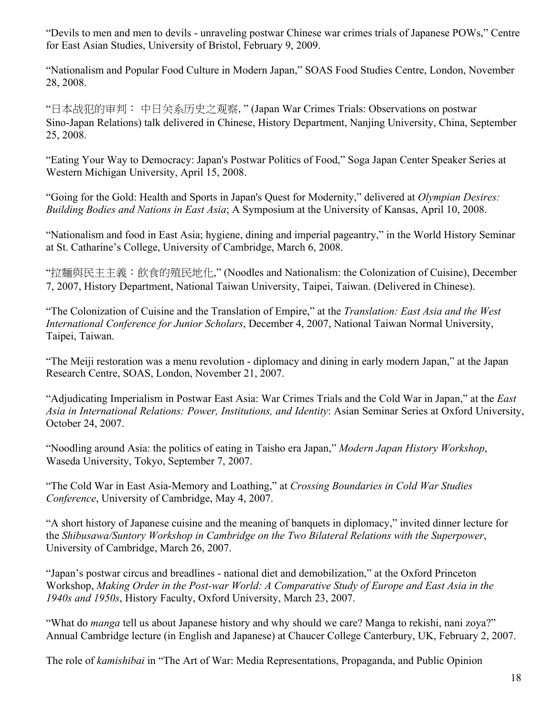"Devils to men and men to devils - unraveling postwar Chinese war crimes trials of Japanese POWs," Centre for East Asian Studies, University of Bristol, February 9, 2009.

"Nationalism and Popular Food Culture in Modern Japan," SOAS Food Studies Centre, London, November 28, 2008.

"日本战犯的审判: 中日关系历史之观察," (Japan War Crimes Trials: Observations on postwar Sino-Japan Relations) talk delivered in Chinese, History Department, Nanjing University, China, September 25, 2008.

"Eating Your Way to Democracy: Japan's Postwar Politics of Food," Soga Japan Center Speaker Series at Western Michigan University, April 15, 2008.

"Going for the Gold: Health and Sports in Japan's Quest for Modernity," delivered at *Olympian Desires: Building Bodies and Nations in East Asia*; A Symposium at the University of Kansas, April 10, 2008.

"Nationalism and food in East Asia; hygiene, dining and imperial pageantry," in the World History Seminar at St. Catharine's College, University of Cambridge, March 6, 2008.

"拉麵與民主主義:飲食的殖民地化," (Noodles and Nationalism: the Colonization of Cuisine), December 7, 2007, History Department, National Taiwan University, Taipei, Taiwan. (Delivered in Chinese).

"The Colonization of Cuisine and the Translation of Empire," at the *Translation: East Asia and the West International Conference for Junior Scholars*, December 4, 2007, National Taiwan Normal University, Taipei, Taiwan.

"The Meiji restoration was a menu revolution - diplomacy and dining in early modern Japan," at the Japan Research Centre, SOAS, London, November 21, 2007.

" "Adjudicating Imperialism in Postwar East Asia: War Crimes Trials and the Cold War in Japan," at the *East Asia in International Relations: Power, Institutions, and Identity*: Asian Seminar Series at Oxford University, October 24, 2007.

"Noodling around Asia: the politics of eating in Taisho era Japan," *Modern Japan History Workshop*, Waseda University, Tokyo, September 7, 2007.

"The Cold War in East Asia-Memory and Loathing," at *Crossing Boundaries in Cold War Studies Conference*, University of Cambridge, May 4, 2007.

"A short history of Japanese cuisine and the meaning of banquets in diplomacy," invited dinner lecture for the *Shibusawa/Suntory Workshop in Cambridge on the Two Bilateral Relations with the Superpower*, University of Cambridge, March 26, 2007.

"Japan's postwar circus and breadlines - national diet and demobilization," at the Oxford Princeton Workshop, *Making Order in the Post-war World: A Comparative Study of Europe and East Asia in the 1940s and 1950s*, History Faculty, Oxford University, March 23, 2007.

"What do *manga* tell us about Japanese history and why should we care? Manga to rekishi, nani zoya?" Annual Cambridge lecture (in English and Japanese) at Chaucer College Canterbury, UK, February 2, 2007.

The role of *kamishibai* in "The Art of War: Media Representations, Propaganda, and Public Opinion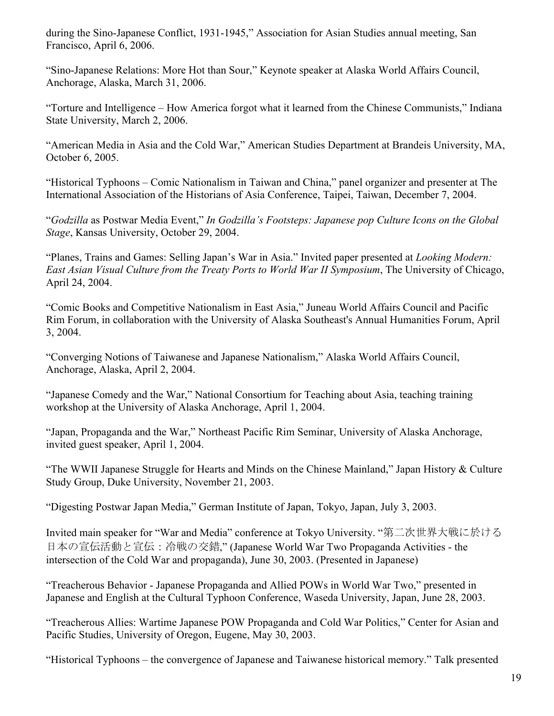during the Sino-Japanese Conflict, 1931-1945," Association for Asian Studies annual meeting, San Francisco, April 6, 2006.

"Sino-Japanese Relations: More Hot than Sour," Keynote speaker at Alaska World Affairs Council, Anchorage, Alaska, March 31, 2006.

"Torture and Intelligence – How America forgot what it learned from the Chinese Communists," Indiana State University, March 2, 2006.

"American Media in Asia and the Cold War," American Studies Department at Brandeis University, MA, October 6, 2005.

"Historical Typhoons – Comic Nationalism in Taiwan and China," panel organizer and presenter at The International Association of the Historians of Asia Conference, Taipei, Taiwan, December 7, 2004.

"*Godzilla* as Postwar Media Event," *In Godzilla's Footsteps: Japanese pop Culture Icons on the Global Stage*, Kansas University, October 29, 2004.

"Planes, Trains and Games: Selling Japan's War in Asia." Invited paper presented at *Looking Modern: East Asian Visual Culture from the Treaty Ports to World War II Symposium*, The University of Chicago, April 24, 2004.

"Comic Books and Competitive Nationalism in East Asia," Juneau World Affairs Council and Pacific Rim Forum, in collaboration with the University of Alaska Southeast's Annual Humanities Forum, April 3, 2004.

"Converging Notions of Taiwanese and Japanese Nationalism," Alaska World Affairs Council, Anchorage, Alaska, April 2, 2004.

"Japanese Comedy and the War," National Consortium for Teaching about Asia, teaching training workshop at the University of Alaska Anchorage, April 1, 2004.

"Japan, Propaganda and the War," Northeast Pacific Rim Seminar, University of Alaska Anchorage, invited guest speaker, April 1, 2004.

"The WWII Japanese Struggle for Hearts and Minds on the Chinese Mainland," Japan History & Culture Study Group, Duke University, November 21, 2003.

"Digesting Postwar Japan Media," German Institute of Japan, Tokyo, Japan, July 3, 2003.

Invited main speaker for "War and Media" conference at Tokyo University. "第二次世界大戦に於ける 日本の宣伝活動と宣伝:冷戦の交錯," (Japanese World War Two Propaganda Activities - the intersection of the Cold War and propaganda), June 30, 2003. (Presented in Japanese)

"Treacherous Behavior - Japanese Propaganda and Allied POWs in World War Two," presented in Japanese and English at the Cultural Typhoon Conference, Waseda University, Japan, June 28, 2003.

"Treacherous Allies: Wartime Japanese POW Propaganda and Cold War Politics," Center for Asian and Pacific Studies, University of Oregon, Eugene, May 30, 2003.

"Historical Typhoons – the convergence of Japanese and Taiwanese historical memory." Talk presented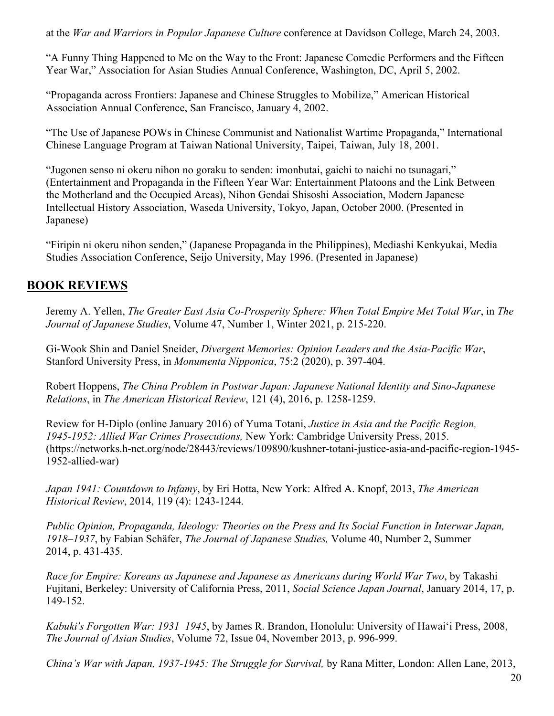at the *War and Warriors in Popular Japanese Culture* conference at Davidson College, March 24, 2003.

"A Funny Thing Happened to Me on the Way to the Front: Japanese Comedic Performers and the Fifteen Year War," Association for Asian Studies Annual Conference, Washington, DC, April 5, 2002.

"Propaganda across Frontiers: Japanese and Chinese Struggles to Mobilize," American Historical Association Annual Conference, San Francisco, January 4, 2002.

"The Use of Japanese POWs in Chinese Communist and Nationalist Wartime Propaganda," International Chinese Language Program at Taiwan National University, Taipei, Taiwan, July 18, 2001.

"Jugonen senso ni okeru nihon no goraku to senden: imonbutai, gaichi to naichi no tsunagari," (Entertainment and Propaganda in the Fifteen Year War: Entertainment Platoons and the Link Between the Motherland and the Occupied Areas), Nihon Gendai Shisoshi Association, Modern Japanese Intellectual History Association, Waseda University, Tokyo, Japan, October 2000. (Presented in Japanese)

"Firipin ni okeru nihon senden," (Japanese Propaganda in the Philippines), Mediashi Kenkyukai, Media Studies Association Conference, Seijo University, May 1996. (Presented in Japanese)

## **BOOK REVIEWS**

Jeremy A. Yellen, *The Greater East Asia Co-Prosperity Sphere: When Total Empire Met Total War*, in *The Journal of Japanese Studies*, Volume 47, Number 1, Winter 2021, p. 215-220.

Gi-Wook Shin and Daniel Sneider, *Divergent Memories: Opinion Leaders and the Asia-Pacific War*, Stanford University Press, in *Monumenta Nipponica*, 75:2 (2020), p. 397-404.

Robert Hoppens, *The China Problem in Postwar Japan: Japanese National Identity and Sino-Japanese Relations*, in *The American Historical Review*, 121 (4), 2016, p. 1258-1259.

Review for H-Diplo (online January 2016) of Yuma Totani, *Justice in Asia and the Pacific Region, 1945-1952: Allied War Crimes Prosecutions,* New York: Cambridge University Press, 2015. (https://networks.h-net.org/node/28443/reviews/109890/kushner-totani-justice-asia-and-pacific-region-1945- 1952-allied-war)

*Japan 1941: Countdown to Infamy*, by Eri Hotta, New York: Alfred A. Knopf, 2013, *The American Historical Review*, 2014, 119 (4): 1243-1244.

*Public Opinion, Propaganda, Ideology: Theories on the Press and Its Social Function in Interwar Japan, 1918–1937*, by Fabian Schäfer, *The Journal of Japanese Studies,* Volume 40, Number 2, Summer 2014, p. 431-435.

*Race for Empire: Koreans as Japanese and Japanese as Americans during World War Two*, by Takashi Fujitani, Berkeley: University of California Press, 2011, *Social Science Japan Journal*, January 2014, 17, p. 149-152.

*Kabuki's Forgotten War: 1931–1945*, by James R. Brandon, Honolulu: University of Hawai'i Press, 2008, *The Journal of Asian Studies*, Volume 72, Issue 04, November 2013, p. 996-999.

*China's War with Japan, 1937-1945: The Struggle for Survival,* by Rana Mitter, London: Allen Lane, 2013,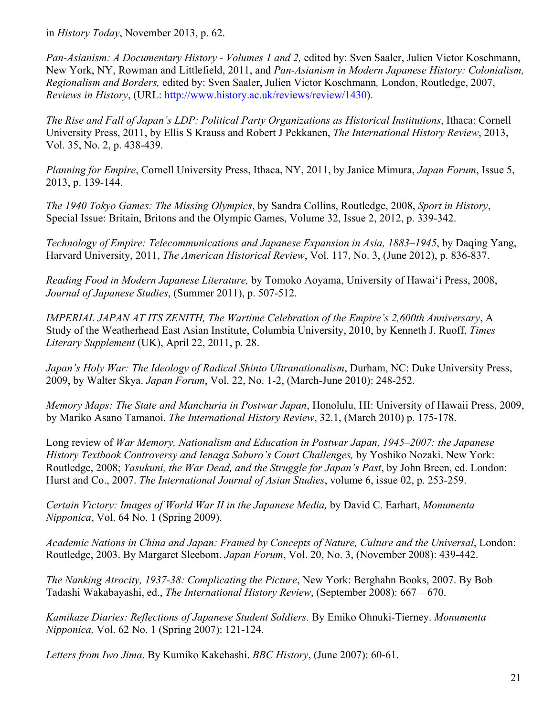in *History Today*, November 2013, p. 62.

*Pan-Asianism: A Documentary History - Volumes 1 and 2,* edited by: Sven Saaler, Julien Victor Koschmann, New York, NY, Rowman and Littlefield, 2011, and *Pan-Asianism in Modern Japanese History: Colonialism, Regionalism and Borders,* edited by: Sven Saaler, Julien Victor Koschmann*,* London, Routledge, 2007, *Reviews in History*, (URL: http://www.history.ac.uk/reviews/review/1430).

*The Rise and Fall of Japan's LDP: Political Party Organizations as Historical Institutions*, Ithaca: Cornell University Press, 2011, by Ellis S Krauss and Robert J Pekkanen, *The International History Review*, 2013, Vol. 35, No. 2, p. 438-439.

*Planning for Empire*, Cornell University Press, Ithaca, NY, 2011, by Janice Mimura, *Japan Forum*, Issue 5, 2013, p. 139-144.

*The 1940 Tokyo Games: The Missing Olympics*, by Sandra Collins, Routledge, 2008, *Sport in History*, Special Issue: Britain, Britons and the Olympic Games, Volume 32, Issue 2, 2012, p. 339-342.

*Technology of Empire: Telecommunications and Japanese Expansion in Asia, 1883–1945*, by Daqing Yang, Harvard University, 2011, *The American Historical Review*, Vol. 117, No. 3, (June 2012), p. 836-837.

*Reading Food in Modern Japanese Literature,* by Tomoko Aoyama, University of Hawai'i Press, 2008, *Journal of Japanese Studies*, (Summer 2011), p. 507-512.

*IMPERIAL JAPAN AT ITS ZENITH, The Wartime Celebration of the Empire's 2,600th Anniversary*, A Study of the Weatherhead East Asian Institute, Columbia University, 2010, by Kenneth J. Ruoff, *Times Literary Supplement* (UK), April 22, 2011, p. 28.

*Japan's Holy War: The Ideology of Radical Shinto Ultranationalism*, Durham, NC: Duke University Press, 2009, by Walter Skya. *Japan Forum*, Vol. 22, No. 1-2, (March-June 2010): 248-252.

*Memory Maps: The State and Manchuria in Postwar Japan*, Honolulu, HI: University of Hawaii Press, 2009, by Mariko Asano Tamanoi. *The International History Review*, 32.1, (March 2010) p. 175-178.

Long review of *War Memory, Nationalism and Education in Postwar Japan, 1945–2007: the Japanese History Textbook Controversy and Ienaga Saburo's Court Challenges,* by Yoshiko Nozaki. New York: Routledge, 2008; *Yasukuni, the War Dead, and the Struggle for Japan's Past*, by John Breen, ed. London: Hurst and Co., 2007. *The International Journal of Asian Studies*, volume 6, issue 02, p. 253-259.

*Certain Victory: Images of World War II in the Japanese Media,* by David C. Earhart, *Monumenta Nipponica*, Vol. 64 No. 1 (Spring 2009).

*Academic Nations in China and Japan: Framed by Concepts of Nature, Culture and the Universal*, London: Routledge, 2003. By Margaret Sleebom. *Japan Forum*, Vol. 20, No. 3, (November 2008): 439-442.

*The Nanking Atrocity, 1937-38: Complicating the Picture*, New York: Berghahn Books, 2007. By Bob Tadashi Wakabayashi, ed., *The International History Review*, (September 2008): 667 – 670.

*Kamikaze Diaries: Reflections of Japanese Student Soldiers.* By Emiko Ohnuki-Tierney. *Monumenta Nipponica,* Vol. 62 No. 1 (Spring 2007): 121-124.

*Letters from Iwo Jima*. By Kumiko Kakehashi. *BBC History*, (June 2007): 60-61.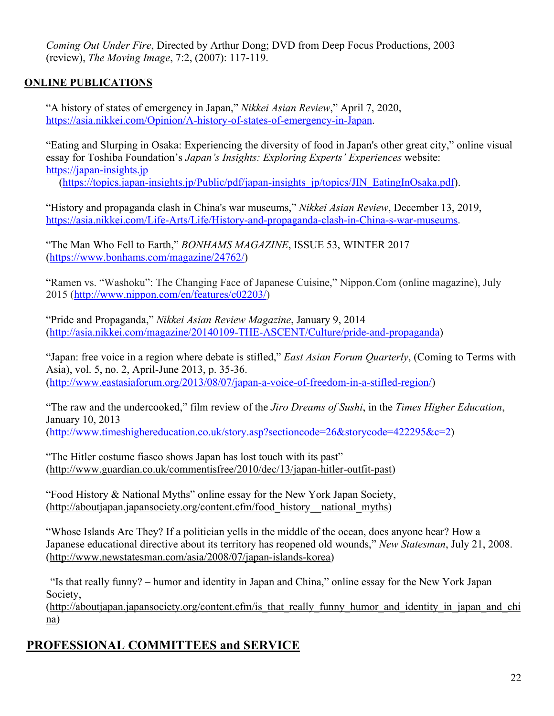*Coming Out Under Fire*, Directed by Arthur Dong; DVD from Deep Focus Productions, 2003 (review), *The Moving Image*, 7:2, (2007): 117-119.

## **ONLINE PUBLICATIONS**

"A history of states of emergency in Japan," *Nikkei Asian Review*," April 7, 2020, https://asia.nikkei.com/Opinion/A-history-of-states-of-emergency-in-Japan.

"Eating and Slurping in Osaka: Experiencing the diversity of food in Japan's other great city," online visual essay for Toshiba Foundation's *Japan's Insights: Exploring Experts' Experiences* website: https://japan-insights.jp

(https://topics.japan-insights.jp/Public/pdf/japan-insights\_jp/topics/JIN\_EatingInOsaka.pdf).

"History and propaganda clash in China's war museums," *Nikkei Asian Review*, December 13, 2019, https://asia.nikkei.com/Life-Arts/Life/History-and-propaganda-clash-in-China-s-war-museums.

"The Man Who Fell to Earth," *BONHAMS MAGAZINE*, ISSUE 53, WINTER 2017 (https://www.bonhams.com/magazine/24762/)

"Ramen vs. "Washoku": The Changing Face of Japanese Cuisine," Nippon.Com (online magazine), July 2015 (http://www.nippon.com/en/features/c02203/)

"Pride and Propaganda," *Nikkei Asian Review Magazine*, January 9, 2014 (http://asia.nikkei.com/magazine/20140109-THE-ASCENT/Culture/pride-and-propaganda)

"Japan: free voice in a region where debate is stifled," *East Asian Forum Quarterly*, (Coming to Terms with Asia), vol. 5, no. 2, April-June 2013, p. 35-36. (http://www.eastasiaforum.org/2013/08/07/japan-a-voice-of-freedom-in-a-stifled-region/)

"The raw and the undercooked," film review of the *Jiro Dreams of Sushi*, in the *Times Higher Education*, January 10, 2013 (http://www.timeshighereducation.co.uk/story.asp?sectioncode=26&storycode=422295&c=2)

"The Hitler costume fiasco shows Japan has lost touch with its past" (http://www.guardian.co.uk/commentisfree/2010/dec/13/japan-hitler-outfit-past)

"Food History & National Myths" online essay for the New York Japan Society, (http://aboutjapan.japansociety.org/content.cfm/food\_history\_\_national\_myths)

"Whose Islands Are They? If a politician yells in the middle of the ocean, does anyone hear? How a Japanese educational directive about its territory has reopened old wounds," *New Statesman*, July 21, 2008. (http://www.newstatesman.com/asia/2008/07/japan-islands-korea)

"Is that really funny? – humor and identity in Japan and China," online essay for the New York Japan Society,

(http://aboutjapan.japansociety.org/content.cfm/is\_that\_really\_funny\_humor\_and\_identity\_in\_japan\_and\_chi na)

# **PROFESSIONAL COMMITTEES and SERVICE**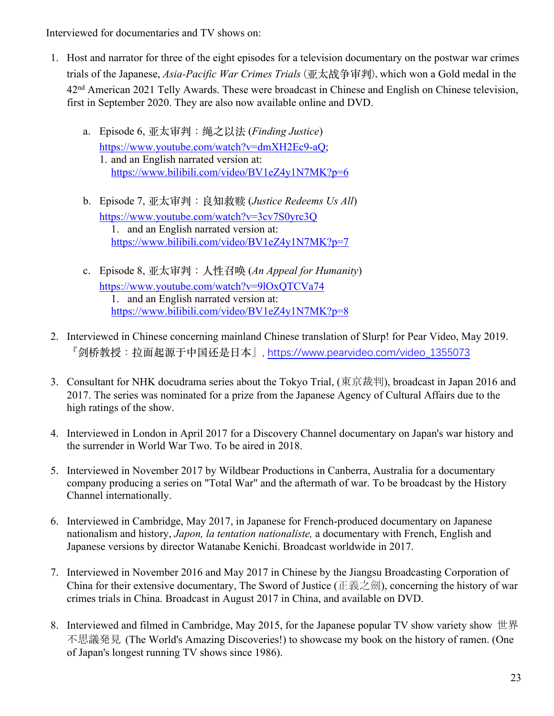Interviewed for documentaries and TV shows on:

- 1. Host and narrator for three of the eight episodes for a television documentary on the postwar war crimes trials of the Japanese, *Asia-Pacific War Crimes Trials* (亚太战争审判), which won a Gold medal in the 42<sup>nd</sup> American 2021 Telly Awards. These were broadcast in Chinese and English on Chinese television, first in September 2020. They are also now available online and DVD.
	- a. Episode 6, 亚太审判:绳之以法 (*Finding Justice*) https://www.youtube.com/watch?v=dmXH2Ec9-aQ; 1. and an English narrated version at: https://www.bilibili.com/video/BV1eZ4y1N7MK?p=6
	- b. Episode 7, 亚太审判:良知救赎 (*Justice Redeems Us All*) https://www.youtube.com/watch?v=3cv7S0yrc3Q 1. and an English narrated version at: https://www.bilibili.com/video/BV1eZ4y1N7MK?p=7
	- c. Episode 8, 亚太审判:⼈性召唤 (*An Appeal for Humanity*) https://www.youtube.com/watch?v=9lOxQTCVa74 1. and an English narrated version at: https://www.bilibili.com/video/BV1eZ4y1N7MK?p=8
- 2. Interviewed in Chinese concerning mainland Chinese translation of Slurp! for Pear Video, May 2019. 『剑桥教授:拉⾯起源于中国还是⽇本』, https://www.pearvideo.com/video\_1355073
- 3. Consultant for NHK docudrama series about the Tokyo Trial, (東京裁判), broadcast in Japan 2016 and 2017. The series was nominated for a prize from the Japanese Agency of Cultural Affairs due to the high ratings of the show.
- 4. Interviewed in London in April 2017 for a Discovery Channel documentary on Japan's war history and the surrender in World War Two. To be aired in 2018.
- 5. Interviewed in November 2017 by Wildbear Productions in Canberra, Australia for a documentary company producing a series on "Total War" and the aftermath of war. To be broadcast by the History Channel internationally.
- 6. Interviewed in Cambridge, May 2017, in Japanese for French-produced documentary on Japanese nationalism and history, *Japon, la tentation nationaliste,* a documentary with French, English and Japanese versions by director Watanabe Kenichi. Broadcast worldwide in 2017.
- 7. Interviewed in November 2016 and May 2017 in Chinese by the Jiangsu Broadcasting Corporation of China for their extensive documentary, The Sword of Justice (正義之劍), concerning the history of war crimes trials in China. Broadcast in August 2017 in China, and available on DVD.
- 8. Interviewed and filmed in Cambridge, May 2015, for the Japanese popular TV show variety show 世界 不思議発見 (The World's Amazing Discoveries!) to showcase my book on the history of ramen. (One of Japan's longest running TV shows since 1986).